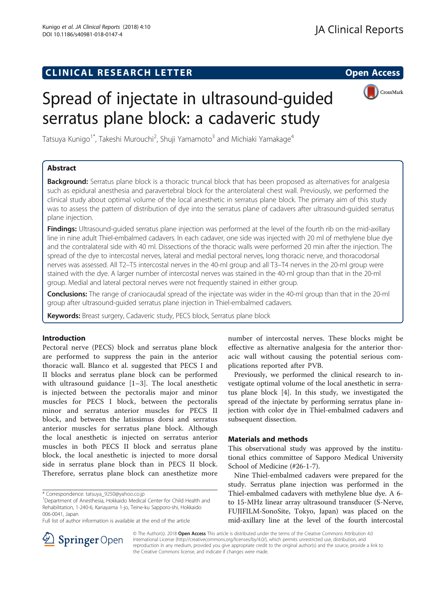## **CLINICAL RESEARCH LETTER CLINICAL RESEARCH LETTER Open Access**



# Spread of injectate in ultrasound-guided serratus plane block: a cadaveric study

Tatsuya Kunigo<sup>1\*</sup>, Takeshi Murouchi<sup>2</sup>, Shuji Yamamoto<sup>3</sup> and Michiaki Yamakage<sup>4</sup>

## Abstract

**Background:** Serratus plane block is a thoracic truncal block that has been proposed as alternatives for analgesia such as epidural anesthesia and paravertebral block for the anterolateral chest wall. Previously, we performed the clinical study about optimal volume of the local anesthetic in serratus plane block. The primary aim of this study was to assess the pattern of distribution of dye into the serratus plane of cadavers after ultrasound-guided serratus plane injection.

Findings: Ultrasound-quided serratus plane injection was performed at the level of the fourth rib on the mid-axillary line in nine adult Thiel-embalmed cadavers. In each cadaver, one side was injected with 20 ml of methylene blue dye and the contralateral side with 40 ml. Dissections of the thoracic walls were performed 20 min after the injection. The spread of the dye to intercostal nerves, lateral and medial pectoral nerves, long thoracic nerve, and thoracodorsal nerves was assessed. All T2–T5 intercostal nerves in the 40-ml group and all T3–T4 nerves in the 20-ml group were stained with the dye. A larger number of intercostal nerves was stained in the 40-ml group than that in the 20-ml group. Medial and lateral pectoral nerves were not frequently stained in either group.

Conclusions: The range of craniocaudal spread of the injectate was wider in the 40-ml group than that in the 20-ml group after ultrasound-guided serratus plane injection in Thiel-embalmed cadavers.

Keywords: Breast surgery, Cadaveric study, PECS block, Serratus plane block

## Introduction

Pectoral nerve (PECS) block and serratus plane block are performed to suppress the pain in the anterior thoracic wall. Blanco et al. suggested that PECS I and II blocks and serratus plane block can be performed with ultrasound guidance [[1](#page-2-0)–[3\]](#page-2-0). The local anesthetic is injected between the pectoralis major and minor muscles for PECS I block, between the pectoralis minor and serratus anterior muscles for PECS II block, and between the latissimus dorsi and serratus anterior muscles for serratus plane block. Although the local anesthetic is injected on serratus anterior muscles in both PECS II block and serratus plane block, the local anesthetic is injected to more dorsal side in serratus plane block than in PECS II block. Therefore, serratus plane block can anesthetize more

number of intercostal nerves. These blocks might be effective as alternative analgesia for the anterior thoracic wall without causing the potential serious complications reported after PVB.

Previously, we performed the clinical research to investigate optimal volume of the local anesthetic in serratus plane block [[4\]](#page-2-0). In this study, we investigated the spread of the injectate by performing serratus plane injection with color dye in Thiel-embalmed cadavers and subsequent dissection.

### Materials and methods

This observational study was approved by the institutional ethics committee of Sapporo Medical University School of Medicine (#26-1-7).

Nine Thiel-embalmed cadavers were prepared for the study. Serratus plane injection was performed in the Thiel-embalmed cadavers with methylene blue dye. A 6 to 15-MHz linear array ultrasound transducer (S-Nerve, FUJIFILM-SonoSite, Tokyo, Japan) was placed on the mid-axillary line at the level of the fourth intercostal



© The Author(s). 2018 Open Access This article is distributed under the terms of the Creative Commons Attribution 4.0 International License ([http://creativecommons.org/licenses/by/4.0/\)](http://creativecommons.org/licenses/by/4.0/), which permits unrestricted use, distribution, and reproduction in any medium, provided you give appropriate credit to the original author(s) and the source, provide a link to the Creative Commons license, and indicate if changes were made.

<sup>\*</sup> Correspondence: [tatsuya\\_9250@yahoo.co.jp](mailto:tatsuya_9250@yahoo.co.jp) <sup>1</sup>

<sup>&</sup>lt;sup>1</sup>Department of Anesthesia, Hokkaido Medical Center for Child Health and Rehabilitation, 1-240-6, Kanayama 1-jo, Teine-ku Sapporo-shi, Hokkaido 006-0041, Japan

Full list of author information is available at the end of the article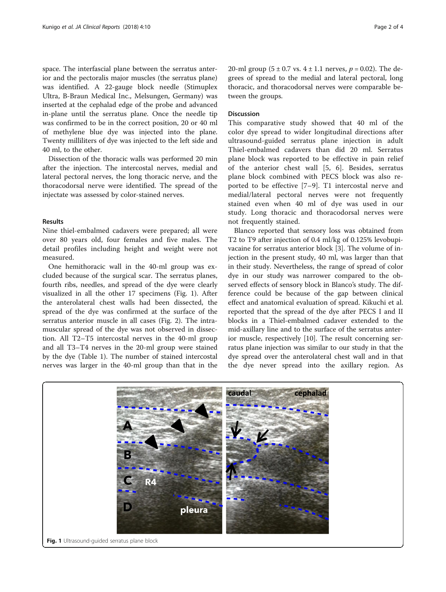space. The interfascial plane between the serratus anterior and the pectoralis major muscles (the serratus plane) was identified. A 22-gauge block needle (Stimuplex Ultra, B-Braun Medical Inc., Melsungen, Germany) was inserted at the cephalad edge of the probe and advanced in-plane until the serratus plane. Once the needle tip was confirmed to be in the correct position, 20 or 40 ml of methylene blue dye was injected into the plane. Twenty milliliters of dye was injected to the left side and 40 ml, to the other.

Dissection of the thoracic walls was performed 20 min after the injection. The intercostal nerves, medial and lateral pectoral nerves, the long thoracic nerve, and the thoracodorsal nerve were identified. The spread of the injectate was assessed by color-stained nerves.

#### Results

Nine thiel-embalmed cadavers were prepared; all were over 80 years old, four females and five males. The detail profiles including height and weight were not measured.

One hemithoracic wall in the 40-ml group was excluded because of the surgical scar. The serratus planes, fourth ribs, needles, and spread of the dye were clearly visualized in all the other 17 specimens (Fig. 1). After the anterolateral chest walls had been dissected, the spread of the dye was confirmed at the surface of the serratus anterior muscle in all cases (Fig. [2](#page-2-0)). The intramuscular spread of the dye was not observed in dissection. All T2–T5 intercostal nerves in the 40-ml group and all T3–T4 nerves in the 20-ml group were stained by the dye (Table [1\)](#page-2-0). The number of stained intercostal nerves was larger in the 40-ml group than that in the 20-ml group (5  $\pm$  0.7 vs. 4  $\pm$  1.1 nerves,  $p = 0.02$ ). The degrees of spread to the medial and lateral pectoral, long thoracic, and thoracodorsal nerves were comparable between the groups.

#### **Discussion**

This comparative study showed that 40 ml of the color dye spread to wider longitudinal directions after ultrasound-guided serratus plane injection in adult Thiel-embalmed cadavers than did 20 ml. Serratus plane block was reported to be effective in pain relief of the anterior chest wall [[5,](#page-2-0) [6\]](#page-3-0). Besides, serratus plane block combined with PECS block was also reported to be effective [[7](#page-3-0)–[9\]](#page-3-0). T1 intercostal nerve and medial/lateral pectoral nerves were not frequently stained even when 40 ml of dye was used in our study. Long thoracic and thoracodorsal nerves were not frequently stained.

Blanco reported that sensory loss was obtained from T2 to T9 after injection of 0.4 ml/kg of 0.125% levobupivacaine for serratus anterior block [[3\]](#page-2-0). The volume of injection in the present study, 40 ml, was larger than that in their study. Nevertheless, the range of spread of color dye in our study was narrower compared to the observed effects of sensory block in Blanco's study. The difference could be because of the gap between clinical effect and anatomical evaluation of spread. Kikuchi et al. reported that the spread of the dye after PECS I and II blocks in a Thiel-embalmed cadaver extended to the mid-axillary line and to the surface of the serratus anterior muscle, respectively [[10\]](#page-3-0). The result concerning serratus plane injection was similar to our study in that the dye spread over the anterolateral chest wall and in that the dye never spread into the axillary region. As

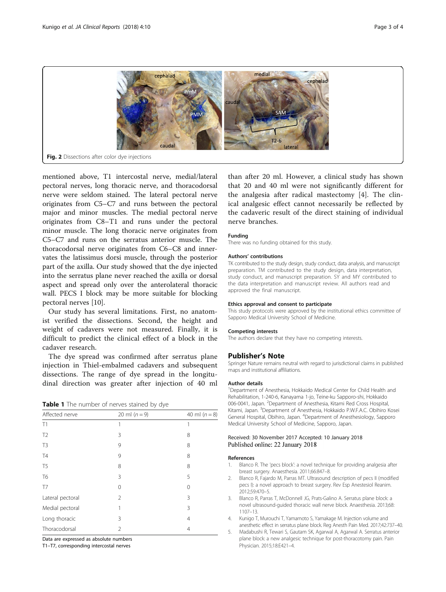<span id="page-2-0"></span>

mentioned above, T1 intercostal nerve, medial/lateral pectoral nerves, long thoracic nerve, and thoracodorsal nerve were seldom stained. The lateral pectoral nerve originates from C5–C7 and runs between the pectoral major and minor muscles. The medial pectoral nerve originates from C8–T1 and runs under the pectoral minor muscle. The long thoracic nerve originates from C5–C7 and runs on the serratus anterior muscle. The thoracodorsal nerve originates from C6–C8 and innervates the latissimus dorsi muscle, through the posterior part of the axilla. Our study showed that the dye injected into the serratus plane never reached the axilla or dorsal aspect and spread only over the anterolateral thoracic wall. PECS I block may be more suitable for blocking pectoral nerves [\[10](#page-3-0)].

Our study has several limitations. First, no anatomist verified the dissections. Second, the height and weight of cadavers were not measured. Finally, it is difficult to predict the clinical effect of a block in the cadaver research.

The dye spread was confirmed after serratus plane injection in Thiel-embalmed cadavers and subsequent dissections. The range of dye spread in the longitudinal direction was greater after injection of 40 ml

|  |  | Table 1 The number of nerves stained by dye |  |  |  |  |  |
|--|--|---------------------------------------------|--|--|--|--|--|
|--|--|---------------------------------------------|--|--|--|--|--|

| Affected nerve   | 20 ml $(n = 9)$ | 40 ml $(n = 8)$ |
|------------------|-----------------|-----------------|
| T1               | 1               | 1               |
| T <sub>2</sub>   | 3               | 8               |
| T <sub>3</sub>   | 9               | 8               |
| T <sub>4</sub>   | 9               | 8               |
| T <sub>5</sub>   | 8               | 8               |
| T <sub>6</sub>   | 3               | 5               |
| T <sub>7</sub>   | 0               | $\Omega$        |
| Lateral pectoral | $\mathfrak{D}$  | 3               |
| Medial pectoral  | 1               | 3               |
| Long thoracic    | 3               | 4               |
| Thoracodorsal    | 2               | $\overline{4}$  |

Data are expressed as absolute numbers

T1–T7, corresponding intercostal nerves

than after 20 ml. However, a clinical study has shown that 20 and 40 ml were not significantly different for the analgesia after radical mastectomy [4]. The clinical analgesic effect cannot necessarily be reflected by the cadaveric result of the direct staining of individual nerve branches.

#### Funding

There was no funding obtained for this study.

#### Authors' contributions

TK contributed to the study design, study conduct, data analysis, and manuscript preparation. TM contributed to the study design, data interpretation, study conduct, and manuscript preparation. SY and MY contributed to the data interpretation and manuscript review. All authors read and approved the final manuscript.

#### Ethics approval and consent to participate

This study protocols were approved by the institutional ethics committee of Sapporo Medical University School of Medicine.

#### Competing interests

The authors declare that they have no competing interests.

#### Publisher's Note

Springer Nature remains neutral with regard to jurisdictional claims in published maps and institutional affiliations.

#### Author details

<sup>1</sup>Department of Anesthesia, Hokkaido Medical Center for Child Health and Rehabilitation, 1-240-6, Kanayama 1-jo, Teine-ku Sapporo-shi, Hokkaido 006-0041, Japan. <sup>2</sup>Department of Anesthesia, Kitami Red Cross Hospital Kitami, Japan. <sup>3</sup>Department of Anesthesia, Hokkaido P.W.F.A.C. Obihiro Kosei General Hospital, Obihiro, Japan. <sup>4</sup>Department of Anesthesiology, Sapporo Medical University School of Medicine, Sapporo, Japan.

#### Received: 30 November 2017 Accepted: 10 January 2018 Published online: 22 January 2018

#### References

- Blanco R. The 'pecs block': a novel technique for providing analgesia after breast surgery. Anaesthesia. 2011;66:847–8.
- 2. Blanco R, Fajardo M, Parras MT. Ultrasound description of pecs II (modified pecs I): a novel approach to breast surgery. Rev Esp Anestesiol Reanim. 2012;59:470–5.
- 3. Blanco R, Parras T, McDonnell JG, Prats-Galino A. Serratus plane block: a novel ultrasound-guided thoracic wall nerve block. Anaesthesia. 2013;68: 1107–13.
- 4. Kunigo T, Murouchi T, Yamamoto S, Yamakage M. Injection volume and anesthetic effect in serratus plane block. Reg Anesth Pain Med. 2017;42:737–40.
- 5. Madabushi R, Tewari S, Gautam SK, Agarwal A, Agarwal A. Serratus anterior plane block: a new analgesic technique for post-thoracotomy pain. Pain Physician. 2015;18:E421–4.